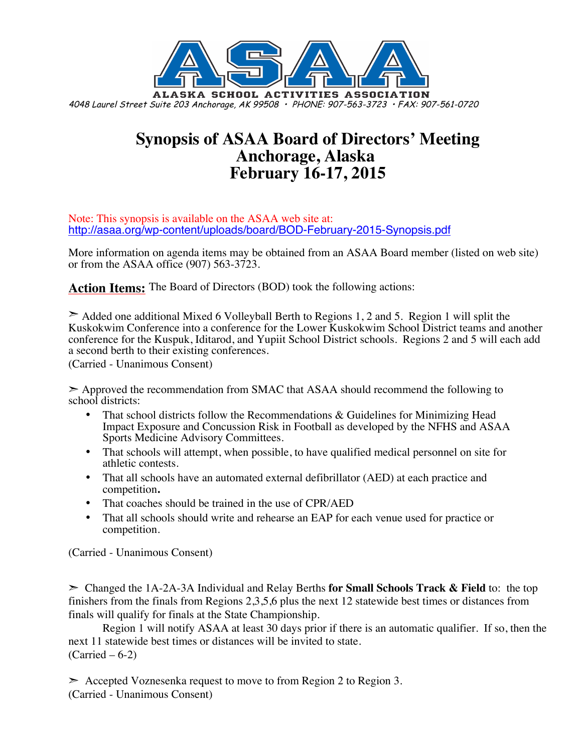

# **Synopsis of ASAA Board of Directors' Meeting Anchorage, Alaska February 16-17, 2015**

Note: This synopsis is available on the ASAA web site at: http://asaa.org/wp-content/uploads/board/BOD-February-2015-Synopsis.pdf

More information on agenda items may be obtained from an ASAA Board member (listed on web site) or from the ASAA office (907) 563-3723.

**Action Items:** The Board of Directors (BOD) took the following actions:

 $\geq$  Added one additional Mixed 6 Volleyball Berth to Regions 1, 2 and 5. Region 1 will split the Kuskokwim Conference into a conference for the Lower Kuskokwim School District teams and another conference for the Kuspuk, Iditarod, and Yupiit School District schools. Regions 2 and 5 will each add a second berth to their existing conferences.

(Carried - Unanimous Consent)

➣ Approved the recommendation from SMAC that ASAA should recommend the following to school districts:

- That school districts follow the Recommendations & Guidelines for Minimizing Head Impact Exposure and Concussion Risk in Football as developed by the NFHS and ASAA Sports Medicine Advisory Committees.
- That schools will attempt, when possible, to have qualified medical personnel on site for athletic contests.
- That all schools have an automated external defibrillator (AED) at each practice and competition**.**
- That coaches should be trained in the use of CPR/AED
- That all schools should write and rehearse an EAP for each venue used for practice or competition.

(Carried - Unanimous Consent)

➣ Changed the 1A-2A-3A Individual and Relay Berths **for Small Schools Track & Field** to: the top finishers from the finals from Regions 2,3,5,6 plus the next 12 statewide best times or distances from finals will qualify for finals at the State Championship.

Region 1 will notify ASAA at least 30 days prior if there is an automatic qualifier. If so, then the next 11 statewide best times or distances will be invited to state.  $(Carried – 6-2)$ 

 $\geq$  Accepted Voznesenka request to move to from Region 2 to Region 3. (Carried - Unanimous Consent)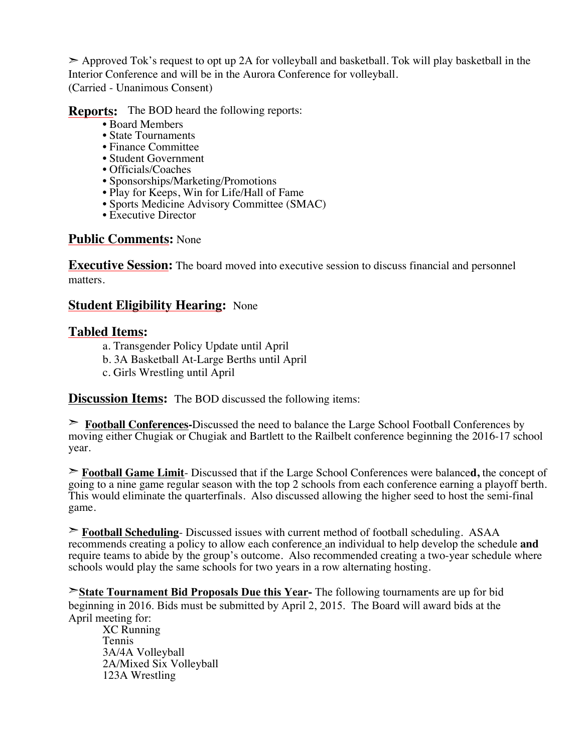➣ Approved Tok's request to opt up 2A for volleyball and basketball. Tok will play basketball in the Interior Conference and will be in the Aurora Conference for volleyball. (Carried - Unanimous Consent)

**Reports:** The BOD heard the following reports:

- Board Members
- State Tournaments
- Finance Committee
- Student Government
- Officials/Coaches
- Sponsorships/Marketing/Promotions
- Play for Keeps, Win for Life/Hall of Fame
- Sports Medicine Advisory Committee (SMAC)
- Executive Director

#### **Public Comments:** None

**Executive Session:** The board moved into executive session to discuss financial and personnel matters.

#### **Student Eligibility Hearing:** None

#### **Tabled Items:**

- a. Transgender Policy Update until April
- b. 3A Basketball At-Large Berths until April
- c. Girls Wrestling until April

**Discussion Items:** The BOD discussed the following items:

➣ **Football Conferences-**Discussed the need to balance the Large School Football Conferences by moving either Chugiak or Chugiak and Bartlett to the Railbelt conference beginning the 2016-17 school year.

➣ **Football Game Limit**- Discussed that if the Large School Conferences were balance**d,** the concept of going to a nine game regular season with the top 2 schools from each conference earning a playoff berth. This would eliminate the quarterfinals. Also discussed allowing the higher seed to host the semi-final game.

➣ **Football Scheduling**- Discussed issues with current method of football scheduling. ASAA recommends creating a policy to allow each conference an individual to help develop the schedule **and** require teams to abide by the group's outcome. Also recommended creating a two-year schedule where schools would play the same schools for two years in a row alternating hosting.

➣**State Tournament Bid Proposals Due this Year-** The following tournaments are up for bid beginning in 2016. Bids must be submitted by April 2, 2015. The Board will award bids at the April meeting for:

XC Running Tennis 3A/4A Volleyball 2A/Mixed Six Volleyball 123A Wrestling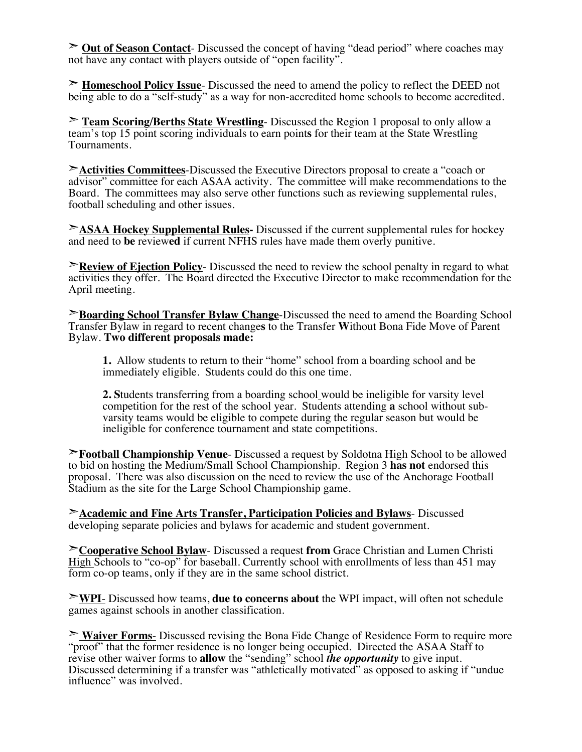➣ **Out of Season Contact**- Discussed the concept of having "dead period" where coaches may not have any contact with players outside of "open facility".

➣ **Homeschool Policy Issue**- Discussed the need to amend the policy to reflect the DEED not being able to do a "self-study" as a way for non-accredited home schools to become accredited.

➣ **Team Scoring/Berths State Wrestling**- Discussed the Region 1 proposal to only allow a team's top 15 point scoring individuals to earn point**s** for their team at the State Wrestling Tournaments.

➣**Activities Committees**-Discussed the Executive Directors proposal to create a "coach or advisor" committee for each ASAA activity. The committee will make recommendations to the Board. The committees may also serve other functions such as reviewing supplemental rules, football scheduling and other issues.

➣**ASAA Hockey Supplemental Rules-** Discussed if the current supplemental rules for hockey and need to **be** review**ed** if current NFHS rules have made them overly punitive.

**Example 1** Policy- Discussed the need to review the school penalty in regard to what activities they offer. The Board directed the Executive Director to make recommendation for the April meeting.

➣**Boarding School Transfer Bylaw Change**-Discussed the need to amend the Boarding School Transfer Bylaw in regard to recent change**s** to the Transfer **W**ithout Bona Fide Move of Parent Bylaw. **Two different proposals made:**

**1.** Allow students to return to their "home" school from a boarding school and be immediately eligible. Students could do this one time.

**2. S**tudents transferring from a boarding school would be ineligible for varsity level competition for the rest of the school year. Students attending **a** school without subvarsity teams would be eligible to compete during the regular season but would be ineligible for conference tournament and state competitions.

➣**Football Championship Venue**- Discussed a request by Soldotna High School to be allowed to bid on hosting the Medium/Small School Championship. Region 3 **has not** endorsed this proposal. There was also discussion on the need to review the use of the Anchorage Football Stadium as the site for the Large School Championship game.

➣**Academic and Fine Arts Transfer, Participation Policies and Bylaws**- Discussed developing separate policies and bylaws for academic and student government.

➣**Cooperative School Bylaw**- Discussed a request **from** Grace Christian and Lumen Christi High Schools to "co-op" for baseball. Currently school with enrollments of less than 451 may form co-op teams, only if they are in the same school district.

➣**WPI**- Discussed how teams, **due to concerns about** the WPI impact, will often not schedule games against schools in another classification.

➣ **Waiver Forms**- Discussed revising the Bona Fide Change of Residence Form to require more "proof" that the former residence is no longer being occupied. Directed the ASAA Staff to revise other waiver forms to **allow** the "sending" school *the opportunity* to give input. Discussed determining if a transfer was "athletically motivated" as opposed to asking if "undue influence" was involved.